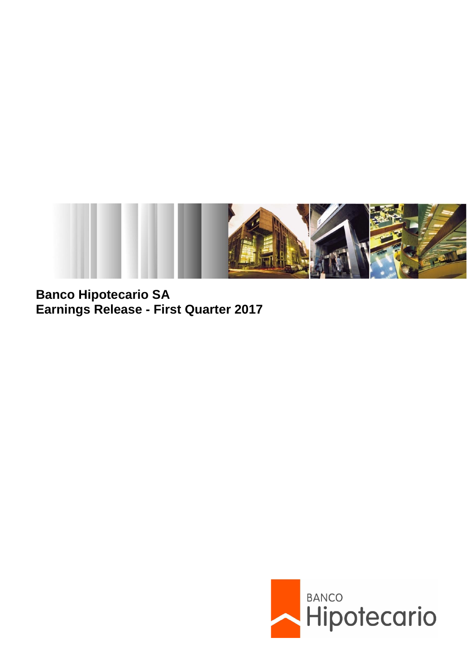

**Banco Hipotecario SA Earnings Release - First Quarter 2017**

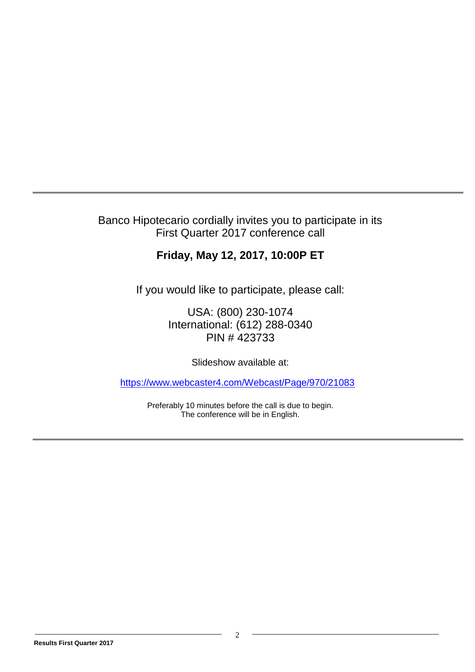## Banco Hipotecario cordially invites you to participate in its First Quarter 2017 conference call

# **Friday, May 12, 2017, 10:00P ET**

If you would like to participate, please call:

USA: (800) 230-1074 International: (612) 288-0340 PIN # 423733

Slideshow available at:

<https://www.webcaster4.com/Webcast/Page/970/21083>

Preferably 10 minutes before the call is due to begin. The conference will be in English.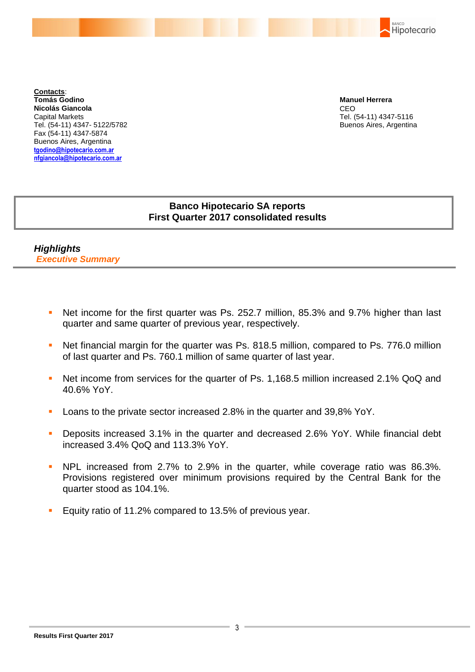

**Contacts**: **Tomás Godino Nicolás Giancola** Capital Markets Tel. (54-11) 4347- 5122/5782 Fax (54-11) 4347-5874 Buenos Aires, Argentina **[tgodino@hipotecario.com.ar](mailto:tgodino@hipotecario.com.ar) nfgiancola@hipotecario.com.ar**

**Manuel Herrera** CEO Tel. (54-11) 4347-5116 Buenos Aires, Argentina

## **Banco Hipotecario SA reports First Quarter 2017 consolidated results**

*Highlights Executive Summary*

- Net income for the first quarter was Ps. 252.7 million, 85.3% and 9.7% higher than last quarter and same quarter of previous year, respectively.
- Net financial margin for the quarter was Ps. 818.5 million, compared to Ps. 776.0 million of last quarter and Ps. 760.1 million of same quarter of last year.
- Net income from services for the quarter of Ps. 1,168.5 million increased 2.1% QoQ and 40.6% YoY.
- **Loans to the private sector increased 2.8% in the quarter and 39,8% YoY.**
- **Deposits increased 3.1% in the quarter and decreased 2.6% YoY. While financial debt** increased 3.4% QoQ and 113.3% YoY.
- **NPL** increased from 2.7% to 2.9% in the quarter, while coverage ratio was 86.3%. Provisions registered over minimum provisions required by the Central Bank for the quarter stood as 104.1%.
- Equity ratio of 11.2% compared to 13.5% of previous year.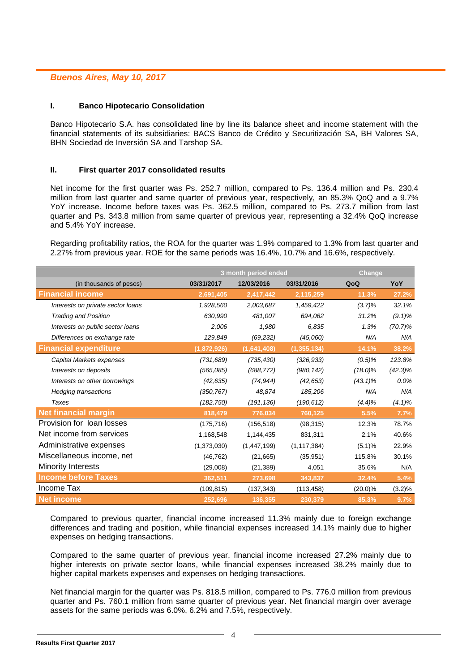## *Buenos Aires, May 10, 2017*

#### **I. Banco Hipotecario Consolidation**

Banco Hipotecario S.A. has consolidated line by line its balance sheet and income statement with the financial statements of its subsidiaries: BACS Banco de Crédito y Securitización SA, BH Valores SA, BHN Sociedad de Inversión SA and Tarshop SA.

### **II. First quarter 2017 consolidated results**

Net income for the first quarter was Ps. 252.7 million, compared to Ps. 136.4 million and Ps. 230.4 million from last quarter and same quarter of previous year, respectively, an 85.3% QoQ and a 9.7% YoY increase. Income before taxes was Ps. 362.5 million, compared to Ps. 273.7 million from last quarter and Ps. 343.8 million from same quarter of previous year, representing a 32.4% QoQ increase and 5.4% YoY increase.

Regarding profitability ratios, the ROA for the quarter was 1.9% compared to 1.3% from last quarter and 2.27% from previous year. ROE for the same periods was 16.4%, 10.7% and 16.6%, respectively.

|                                   |             | 3 month period ended | Change        |            |            |
|-----------------------------------|-------------|----------------------|---------------|------------|------------|
| (in thousands of pesos)           | 03/31/2017  | 12/03/2016           | 03/31/2016    | QoQ        | YoY        |
| <b>Financial income</b>           | 2,691,405   | 2,417,442            | 2,115,259     | 11.3%      | 27.2%      |
| Interests on private sector loans | 1,928,560   | 2,003,687            | 1,459,422     | $(3.7)\%$  | 32.1%      |
| <b>Trading and Position</b>       | 630,990     | 481,007              | 694,062       | 31.2%      | $(9.1)\%$  |
| Interests on public sector loans  | 2,006       | 1,980                | 6,835         | 1.3%       | $(70.7)\%$ |
| Differences on exchange rate      | 129,849     | (69, 232)            | (45,060)      | N/A        | N/A        |
| <b>Financial expenditure</b>      | (1,872,926) | (1,641,408)          | (1, 355, 134) | 14.1%      | 38.2%      |
| Capital Markets expenses          | (731, 689)  | (735, 430)           | (326, 933)    | $(0.5)\%$  | 123.8%     |
| Interests on deposits             | (565,085)   | (688, 772)           | (980, 142)    | $(18.0)\%$ | $(42.3)\%$ |
| Interests on other borrowings     | (42, 635)   | (74, 944)            | (42, 653)     | $(43.1)\%$ | $0.0\%$    |
| <b>Hedging transactions</b>       | (350, 767)  | 48,874               | 185,206       | N/A        | N/A        |
| Taxes                             | (182, 750)  | (191, 136)           | (190, 612)    | $(4.4)\%$  | $(4.1)\%$  |
| <b>Net financial margin</b>       | 818,479     | 776,034              | 760,125       | 5.5%       | 7.7%       |
| Provision for loan losses         | (175, 716)  | (156, 518)           | (98, 315)     | 12.3%      | 78.7%      |
| Net income from services          | 1,168,548   | 1,144,435            | 831,311       | 2.1%       | 40.6%      |
| Administrative expenses           | (1,373,030) | (1,447,199)          | (1, 117, 384) | (5.1)%     | 22.9%      |
| Miscellaneous income, net         | (46, 762)   | (21,665)             | (35, 951)     | 115.8%     | 30.1%      |
| <b>Minority Interests</b>         | (29,008)    | (21, 389)            | 4,051         | 35.6%      | N/A        |
| <b>Income before Taxes</b>        | 362,511     | 273,698              | 343,837       | 32.4%      | 5.4%       |
| Income Tax                        | (109, 815)  | (137, 343)           | (113, 458)    | $(20.0)\%$ | (3.2)%     |
| <b>Net income</b>                 | 252,696     | 136,355              | 230,379       | 85.3%      | 9.7%       |

Compared to previous quarter, financial income increased 11.3% mainly due to foreign exchange differences and trading and position, while financial expenses increased 14.1% mainly due to higher expenses on hedging transactions.

Compared to the same quarter of previous year, financial income increased 27.2% mainly due to higher interests on private sector loans, while financial expenses increased 38.2% mainly due to higher capital markets expenses and expenses on hedging transactions.

Net financial margin for the quarter was Ps. 818.5 million, compared to Ps. 776.0 million from previous quarter and Ps. 760.1 million from same quarter of previous year. Net financial margin over average assets for the same periods was 6.0%, 6.2% and 7.5%, respectively.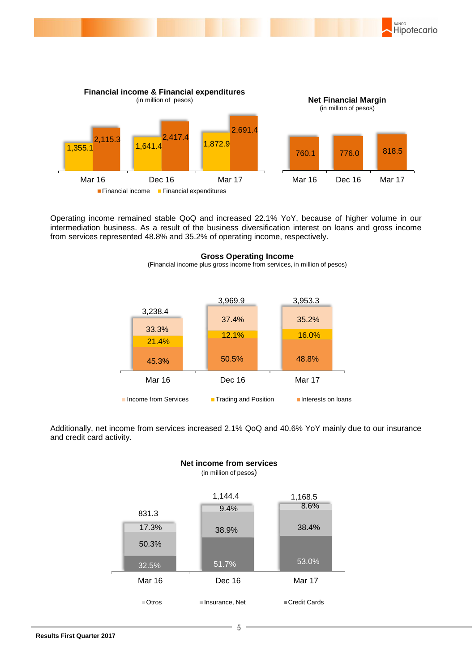

BANCO

Hipotecario

Operating income remained stable QoQ and increased 22.1% YoY, because of higher volume in our intermediation business. As a result of the business diversification interest on loans and gross income from services represented 48.8% and 35.2% of operating income, respectively.

> **Gross Operating Income** (Financial income plus gross income from services, in million of pesos)

|                      | 3,969.9              | 3,953.3            |  |
|----------------------|----------------------|--------------------|--|
| 3,238.4              |                      |                    |  |
|                      | 37.4%                | 35.2%              |  |
| 33.3%                | 12.1%                | 16.0%              |  |
| 21.4%                |                      |                    |  |
| 45.3%                | 50.5%                | 48.8%              |  |
| Mar 16               | Dec 16               | <b>Mar 17</b>      |  |
| Income from Services | Trading and Position | Interests on loans |  |

Additionally, net income from services increased 2.1% QoQ and 40.6% YoY mainly due to our insurance and credit card activity.



#### **Net income from services** (in million of pesos)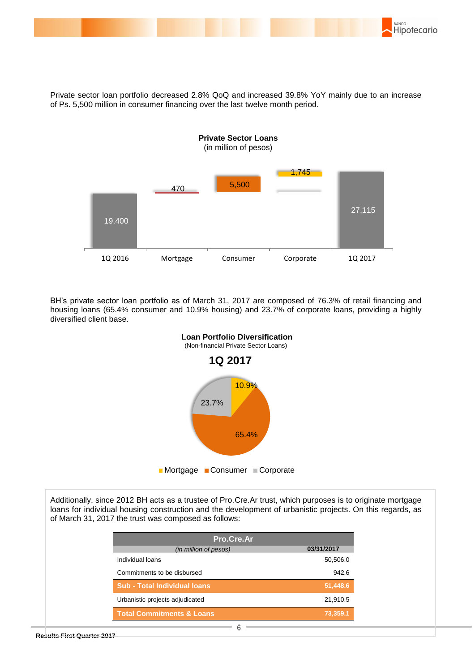

Private sector loan portfolio decreased 2.8% QoQ and increased 39.8% YoY mainly due to an increase of Ps. 5,500 million in consumer financing over the last twelve month period.



BH's private sector loan portfolio as of March 31, 2017 are composed of 76.3% of retail financing and housing loans (65.4% consumer and 10.9% housing) and 23.7% of corporate loans, providing a highly diversified client base.



Additionally, since 2012 BH acts as a trustee of Pro.Cre.Ar trust, which purposes is to originate mortgage loans for individual housing construction and the development of urbanistic projects. On this regards, as of March 31, 2017 the trust was composed as follows:

| Pro.Cre.Ar                           |            |
|--------------------------------------|------------|
| (in million of pesos)                | 03/31/2017 |
| Individual Ioans                     | 50,506.0   |
| Commitments to be disbursed          | 942.6      |
| <b>Sub - Total Individual loans</b>  | 51,448.6   |
| Urbanistic projects adjudicated      | 21,910.5   |
| <b>Total Commitments &amp; Loans</b> | 73,359.1   |
| 6                                    |            |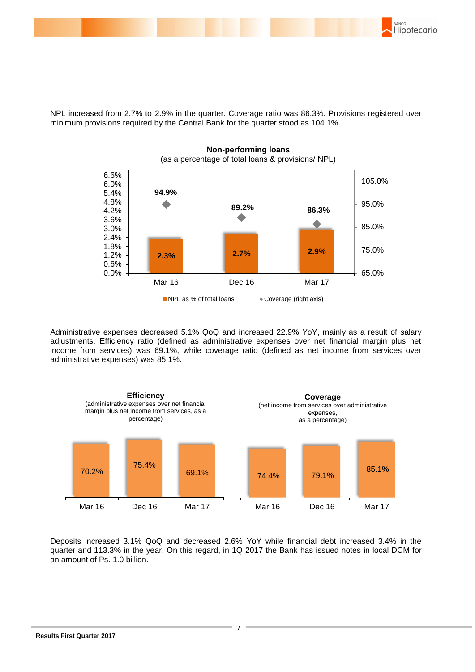

NPL increased from 2.7% to 2.9% in the quarter. Coverage ratio was 86.3%. Provisions registered over minimum provisions required by the Central Bank for the quarter stood as 104.1%.



Administrative expenses decreased 5.1% QoQ and increased 22.9% YoY, mainly as a result of salary adjustments. Efficiency ratio (defined as administrative expenses over net financial margin plus net income from services) was 69.1%, while coverage ratio (defined as net income from services over administrative expenses) was 85.1%.



Deposits increased 3.1% QoQ and decreased 2.6% YoY while financial debt increased 3.4% in the quarter and 113.3% in the year. On this regard, in 1Q 2017 the Bank has issued notes in local DCM for an amount of Ps. 1.0 billion.

7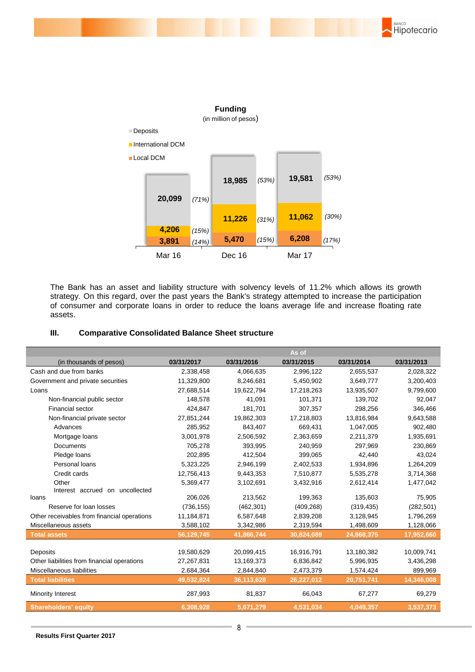



The Bank has an asset and liability structure with solvency levels of 11.2% which allows its growth strategy. On this regard, over the past years the Bank's strategy attempted to increase the participation of consumer and corporate loans in order to reduce the loans average life and increase floating rate assets.

#### **III. Comparative Consolidated Balance Sheet structure**

|                                             |            |            | As of      |            |            |
|---------------------------------------------|------------|------------|------------|------------|------------|
| (in thousands of pesos)                     | 03/31/2017 | 03/31/2016 | 03/31/2015 | 03/31/2014 | 03/31/2013 |
| Cash and due from banks                     | 2,338,458  | 4,066,635  | 2,996,122  | 2,655,537  | 2,028,322  |
| Government and private securities           | 11,329,800 | 8,246,681  | 5,450,902  | 3,649,777  | 3,200,403  |
| Loans                                       | 27,688,514 | 19,622,794 | 17,218,263 | 13,935,507 | 9,799,600  |
| Non-financial public sector                 | 148.578    | 41.091     | 101,371    | 139,702    | 92,047     |
| <b>Financial sector</b>                     | 424,847    | 181,701    | 307,357    | 298,256    | 346,466    |
| Non-financial private sector                | 27,851,244 | 19,862,303 | 17,218,803 | 13,816,984 | 9,643,588  |
| Advances                                    | 285,952    | 843,407    | 669,431    | 1,047,005  | 902,480    |
| Mortgage loans                              | 3,001,978  | 2,506,592  | 2,363,659  | 2,211,379  | 1,935,691  |
| <b>Documents</b>                            | 705,278    | 393,995    | 240,959    | 297,969    | 230,869    |
| Pledge loans                                | 202,895    | 412,504    | 399,065    | 42,440     | 43,024     |
| Personal loans                              | 5,323,225  | 2,946,199  | 2,402,533  | 1,934,896  | 1,264,209  |
| Credit cards                                | 12,756,413 | 9,443,353  | 7,510,877  | 5,535,278  | 3,714,368  |
| Other                                       | 5,369,477  | 3,102,691  | 3,432,916  | 2,612,414  | 1,477,042  |
| Interest accrued on uncollected             |            |            |            |            |            |
| loans                                       | 206,026    | 213,562    | 199,363    | 135,603    | 75,905     |
| Reserve for loan losses                     | (736, 155) | (462, 301) | (409, 268) | (319, 435) | (282, 501) |
| Other receivables from financial operations | 11,184,871 | 6,587,648  | 2,839,208  | 3,128,945  | 1,796,269  |
| Miscellaneous assets                        | 3,588,102  | 3,342,986  | 2,319,594  | 1,498,609  | 1,128,066  |
| <b>Total assets</b>                         | 56,129,745 | 41,866,744 | 30,824,089 | 24,868,375 | 17,952,660 |
|                                             |            |            |            |            |            |
| Deposits                                    | 19,580,629 | 20,099,415 | 16,916,791 | 13,180,382 | 10,009,741 |
| Other liabilities from financial operations | 27,267,831 | 13,169,373 | 6,836,842  | 5,996,935  | 3,436,298  |
| Miscellaneous liabilities                   | 2,684,364  | 2,844,840  | 2,473,379  | 1,574,424  | 899,969    |
| <b>Total liabilities</b>                    | 49,532,824 | 36,113,628 | 26,227,012 | 20,751,741 | 14,346,008 |
| Minority Interest                           | 287,993    | 81,837     | 66,043     | 67,277     | 69,279     |
| <b>Shareholders' equity</b>                 | 6,308,928  | 5,671,279  | 4,531,034  | 4,049,357  | 3,537,373  |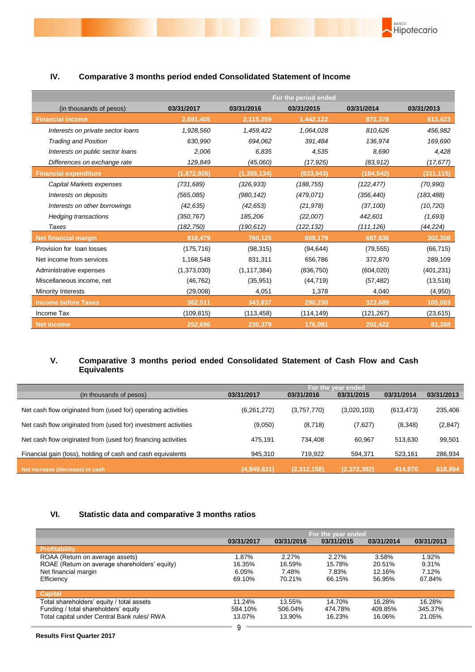|                                   | For the period ended |               |            |            |            |  |
|-----------------------------------|----------------------|---------------|------------|------------|------------|--|
| (in thousands of pesos)           | 03/31/2017           | 03/31/2016    | 03/31/2015 | 03/31/2014 | 03/31/2013 |  |
| <b>Financial income</b>           | 2,691,405            | 2,115,259     | 1,442,122  | 872,378    | 613,423    |  |
| Interests on private sector loans | 1,928,560            | 1,459,422     | 1,064,028  | 810,626    | 456,982    |  |
| <b>Trading and Position</b>       | 630,990              | 694,062       | 391,484    | 136,974    | 169,690    |  |
| Interests on public sector loans  | 2,006                | 6,835         | 4,535      | 8,690      | 4,428      |  |
| Differences on exchange rate      | 129,849              | (45,060)      | (17, 925)  | (83,912)   | (17, 677)  |  |
| <b>Financial expenditure</b>      | (1,872,926)          | (1, 355, 134) | (833, 943) | (184, 542) | (311, 115) |  |
| Capital Markets expenses          | (731, 689)           | (326, 933)    | (188, 755) | (122, 477) | (70, 990)  |  |
| Interests on deposits             | (565,085)            | (980, 142)    | (479, 071) | (356, 440) | (183, 488) |  |
| Interests on other borrowings     | (42, 635)            | (42, 653)     | (21, 978)  | (37, 100)  | (10, 720)  |  |
| <b>Hedging transactions</b>       | (350,767)            | 185,206       | (22,007)   | 442,601    | (1,693)    |  |
| Taxes                             | (182,750)            | (190, 612)    | (122,132)  | (111, 126) | (44,224)   |  |
| <b>Net financial margin</b>       | 818,479              | 760,125       | 608,179    | 687,836    | 302,308    |  |
| Provision for loan losses         | (175, 716)           | (98, 315)     | (94, 644)  | (79, 555)  | (66, 715)  |  |
| Net income from services          | 1,168,548            | 831,311       | 656,786    | 372,870    | 289,109    |  |
| Administrative expenses           | (1,373,030)          | (1, 117, 384) | (836, 750) | (604, 020) | (401, 231) |  |
| Miscellaneous income, net         | (46, 762)            | (35, 951)     | (44, 719)  | (57, 482)  | (13, 518)  |  |
| Minority Interests                | (29,008)             | 4,051         | 1,378      | 4,040      | (4,950)    |  |
| <b>Income before Taxes</b>        | 362,511              | 343,837       | 290,230    | 323,689    | 105,003    |  |
| Income Tax                        | (109, 815)           | (113, 458)    | (114, 149) | (121, 267) | (23, 615)  |  |
| <b>Net income</b>                 | 252,696              | 230,379       | 176,081    | 202,422    | 81,388     |  |

**BANCO**<br>Hipotecario

## **IV. Comparative 3 months period ended Consolidated Statement of Income**

## **V. Comparative 3 months period ended Consolidated Statement of Cash Flow and Cash Equivalents**

|                                                                | For the year ended <b>b</b> |             |             |            |            |  |
|----------------------------------------------------------------|-----------------------------|-------------|-------------|------------|------------|--|
| (in thousands of pesos)                                        | 03/31/2017                  | 03/31/2016  | 03/31/2015  | 03/31/2014 | 03/31/2013 |  |
| Net cash flow originated from (used for) operating activities  | (6,261,272)                 | (3,757,770) | (3,020,103) | (613, 473) | 235,406    |  |
| Net cash flow originated from (used for) investment activities | (9,050)                     | (8,718)     | (7,627)     | (8,348)    | (2,847)    |  |
| Net cash flow originated from (used for) financing activities  | 475.191                     | 734.408     | 60.967      | 513.630    | 99,501     |  |
| Financial gain (loss), holding of cash and cash equivalents    | 945.310                     | 719,922     | 594,371     | 523,161    | 286,934    |  |
| Net increase (decrease) in cash                                | (4,849,821)                 | (2,312,158) | (2,372,392) | 414.970    | 618,994    |  |

## **VI. Statistic data and comparative 3 months ratios**

|                                               | For the year ended |            |            |            |            |  |
|-----------------------------------------------|--------------------|------------|------------|------------|------------|--|
|                                               | 03/31/2017         | 03/31/2016 | 03/31/2015 | 03/31/2014 | 03/31/2013 |  |
| Profitability                                 |                    |            |            |            |            |  |
| ROAA (Return on average assets)               | 1.87%              | 2.27%      | 2.27%      | 3.58%      | 1.92%      |  |
| ROAE (Return on average shareholders' equity) | 16.35%             | 16.59%     | 15.78%     | 20.51%     | 9.31%      |  |
| Net financial margin                          | 6.05%              | 7.48%      | 7.83%      | 12.16%     | 7.12%      |  |
| Efficiency                                    | 69.10%             | 70.21%     | 66.15%     | 56.95%     | 67.84%     |  |
| <b>Capital</b>                                |                    |            |            |            |            |  |
| Total shareholders' equity / total assets     | 11.24%             | 13.55%     | 14.70%     | 16.28%     | 16.28%     |  |
| Funding / total shareholders' equity          | 584.10%            | 506.04%    | 474.78%    | 409.85%    | 345.37%    |  |
| Total capital under Central Bank rules/ RWA   | 13.07%             | 13.90%     | 16.23%     | 16.06%     | 21.05%     |  |
|                                               |                    |            |            |            |            |  |